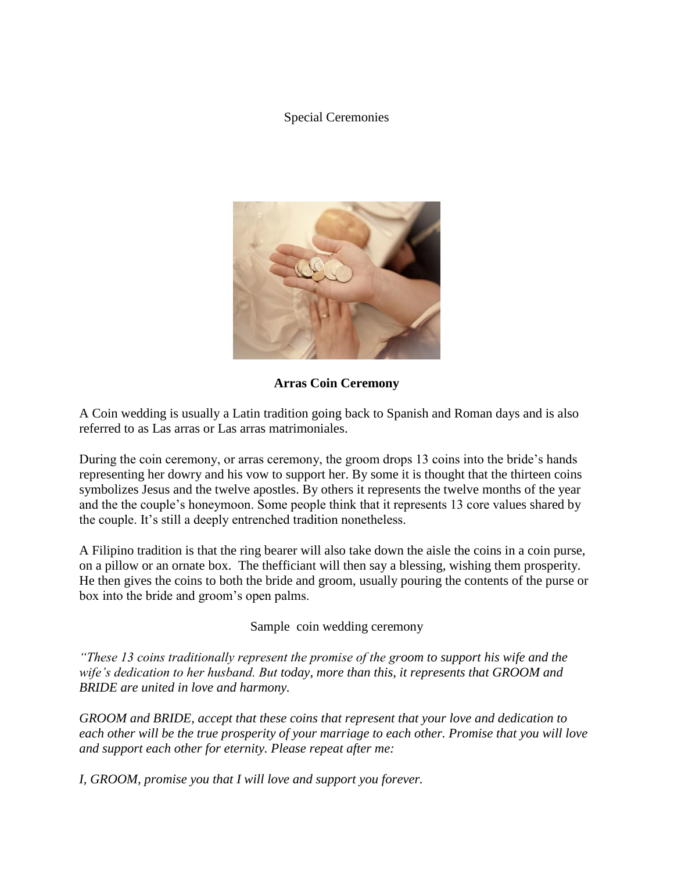## Special Ceremonies



**Arras Coin Ceremony**

A Coin wedding is usually a Latin tradition going back to Spanish and Roman days and is also referred to as Las arras or Las arras matrimoniales.

During the coin ceremony, or arras ceremony, the groom drops 13 coins into the bride's hands representing her dowry and his vow to support her. By some it is thought that the thirteen coins symbolizes Jesus and the twelve apostles. By others it represents the twelve months of the year and the the couple's honeymoon. Some people think that it represents 13 core values shared by the couple. It's still a deeply entrenched tradition nonetheless.

A Filipino tradition is that the ring bearer will also take down the aisle the coins in a coin purse, on a pillow or an ornate box. The thefficiant will then say a blessing, wishing them prosperity. He then gives the coins to both the bride and groom, usually pouring the contents of the purse or box into the bride and groom's open palms.

Sample coin wedding ceremony

*"These 13 coins traditionally represent the promise of the groom to support his wife and the wife's dedication to her husband. But today, more than this, it represents that GROOM and BRIDE are united in love and harmony.*

*GROOM and BRIDE, accept that these coins that represent that your love and dedication to each other will be the true prosperity of your marriage to each other. Promise that you will love and support each other for eternity. Please repeat after me:*

*I, GROOM, promise you that I will love and support you forever.*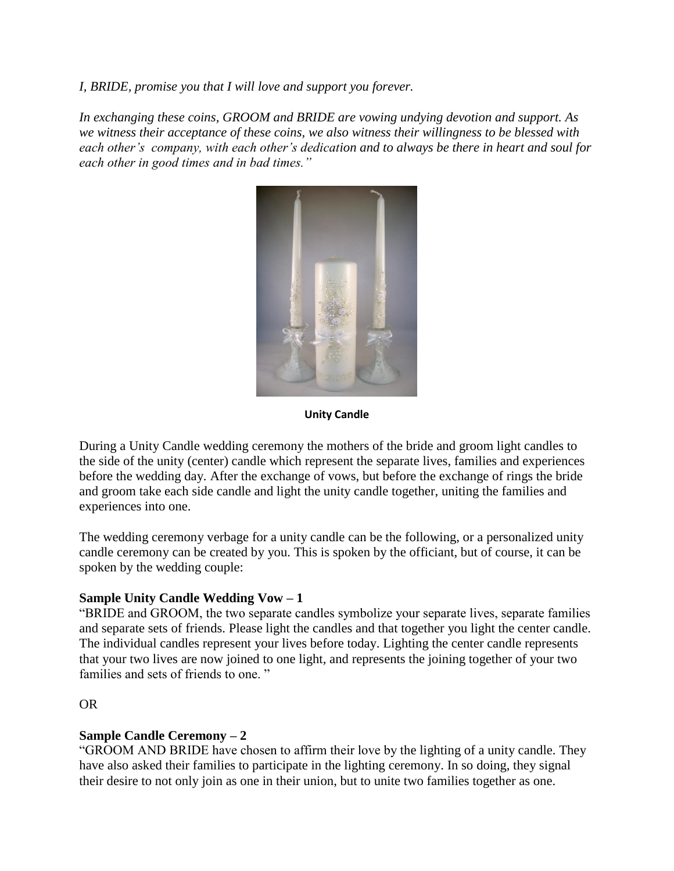*I, BRIDE, promise you that I will love and support you forever.*

*In exchanging these coins, GROOM and BRIDE are vowing undying devotion and support. As we witness their acceptance of these coins, we also witness their willingness to be blessed with each other's company, with each other's dedication and to always be there in heart and soul for each other in good times and in bad times."*



**Unity Candle**

During a Unity Candle wedding ceremony the mothers of the bride and groom light candles to the side of the unity (center) candle which represent the separate lives, families and experiences before the wedding day. After the exchange of vows, but before the exchange of rings the bride and groom take each side candle and light the unity candle together, uniting the families and experiences into one.

The wedding ceremony verbage for a unity candle can be the following, or a personalized unity candle ceremony can be created by you. This is spoken by the officiant, but of course, it can be spoken by the wedding couple:

## **Sample Unity Candle Wedding Vow – 1**

"BRIDE and GROOM, the two separate candles symbolize your separate lives, separate families and separate sets of friends. Please light the candles and that together you light the center candle. The individual candles represent your lives before today. Lighting the center candle represents that your two lives are now joined to one light, and represents the joining together of your two families and sets of friends to one."

### OR

### **Sample Candle Ceremony – 2**

"GROOM AND BRIDE have chosen to affirm their love by the lighting of a unity candle. They have also asked their families to participate in the lighting ceremony. In so doing, they signal their desire to not only join as one in their union, but to unite two families together as one.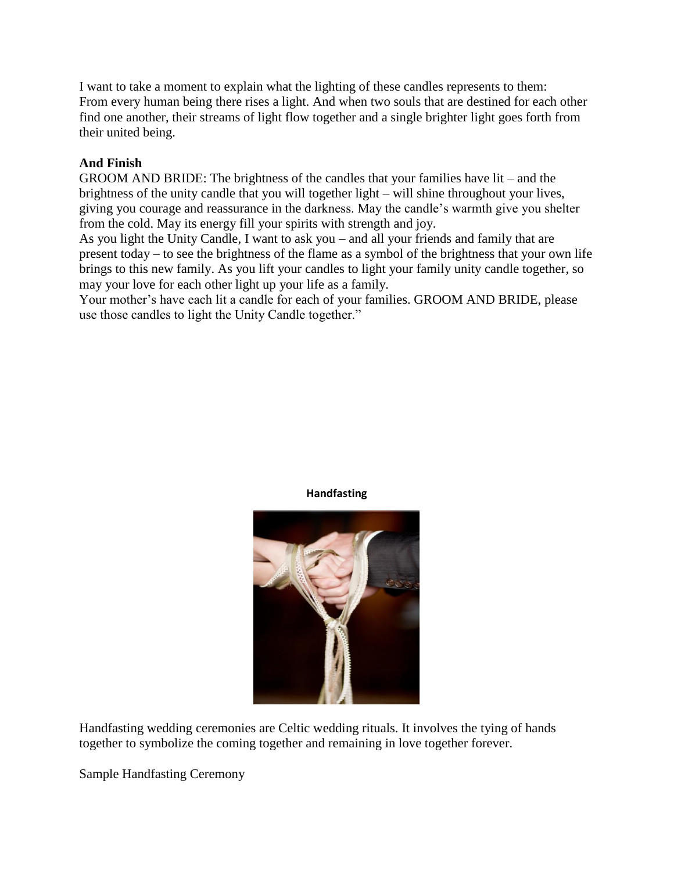I want to take a moment to explain what the lighting of these candles represents to them: From every human being there rises a light. And when two souls that are destined for each other find one another, their streams of light flow together and a single brighter light goes forth from their united being.

# **And Finish**

GROOM AND BRIDE: The brightness of the candles that your families have lit – and the brightness of the unity candle that you will together light – will shine throughout your lives, giving you courage and reassurance in the darkness. May the candle's warmth give you shelter from the cold. May its energy fill your spirits with strength and joy.

As you light the Unity Candle, I want to ask you – and all your friends and family that are present today – to see the brightness of the flame as a symbol of the brightness that your own life brings to this new family. As you lift your candles to light your family unity candle together, so may your love for each other light up your life as a family.

Your mother's have each lit a candle for each of your families. GROOM AND BRIDE, please use those candles to light the Unity Candle together."



**Handfasting**

Handfasting wedding ceremonies are Celtic wedding rituals. It involves the tying of hands together to symbolize the coming together and remaining in love together forever.

Sample Handfasting Ceremony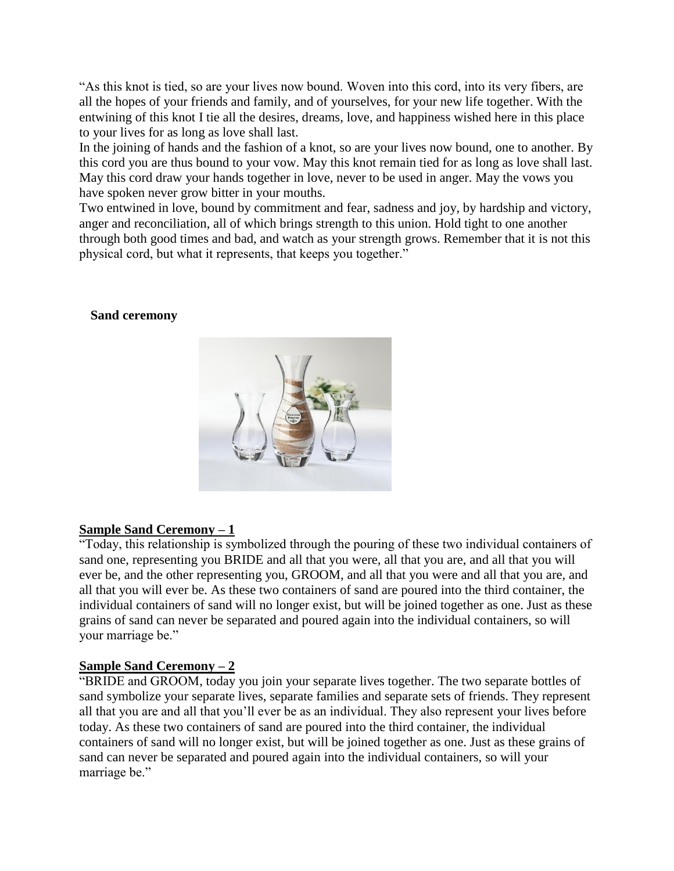"As this knot is tied, so are your lives now bound. Woven into this cord, into its very fibers, are all the hopes of your friends and family, and of yourselves, for your new life together. With the entwining of this knot I tie all the desires, dreams, love, and happiness wished here in this place to your lives for as long as love shall last.

In the joining of hands and the fashion of a knot, so are your lives now bound, one to another. By this cord you are thus bound to your vow. May this knot remain tied for as long as love shall last. May this cord draw your hands together in love, never to be used in anger. May the vows you have spoken never grow bitter in your mouths.

Two entwined in love, bound by commitment and fear, sadness and joy, by hardship and victory, anger and reconciliation, all of which brings strength to this union. Hold tight to one another through both good times and bad, and watch as your strength grows. Remember that it is not this physical cord, but what it represents, that keeps you together."

### **Sand ceremony**



### **Sample Sand Ceremony – 1**

"Today, this relationship is symbolized through the pouring of these two individual containers of sand one, representing you BRIDE and all that you were, all that you are, and all that you will ever be, and the other representing you, GROOM, and all that you were and all that you are, and all that you will ever be. As these two containers of sand are poured into the third container, the individual containers of sand will no longer exist, but will be joined together as one. Just as these grains of sand can never be separated and poured again into the individual containers, so will your marriage be."

## **Sample Sand Ceremony – 2**

"BRIDE and GROOM, today you join your separate lives together. The two separate bottles of sand symbolize your separate lives, separate families and separate sets of friends. They represent all that you are and all that you'll ever be as an individual. They also represent your lives before today. As these two containers of sand are poured into the third container, the individual containers of sand will no longer exist, but will be joined together as one. Just as these grains of sand can never be separated and poured again into the individual containers, so will your marriage be."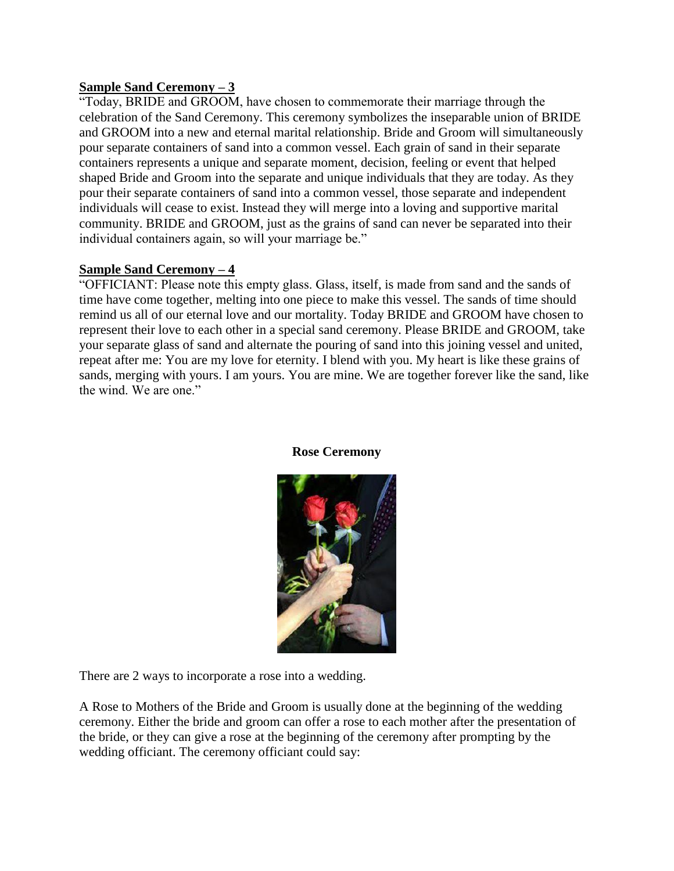## **Sample Sand Ceremony – 3**

"Today, BRIDE and GROOM, have chosen to commemorate their marriage through the celebration of the Sand Ceremony. This ceremony symbolizes the inseparable union of BRIDE and GROOM into a new and eternal marital relationship. Bride and Groom will simultaneously pour separate containers of sand into a common vessel. Each grain of sand in their separate containers represents a unique and separate moment, decision, feeling or event that helped shaped Bride and Groom into the separate and unique individuals that they are today. As they pour their separate containers of sand into a common vessel, those separate and independent individuals will cease to exist. Instead they will merge into a loving and supportive marital community. BRIDE and GROOM, just as the grains of sand can never be separated into their individual containers again, so will your marriage be."

## **Sample Sand Ceremony – 4**

"OFFICIANT: Please note this empty glass. Glass, itself, is made from sand and the sands of time have come together, melting into one piece to make this vessel. The sands of time should remind us all of our eternal love and our mortality. Today BRIDE and GROOM have chosen to represent their love to each other in a special sand ceremony. Please BRIDE and GROOM, take your separate glass of sand and alternate the pouring of sand into this joining vessel and united, repeat after me: You are my love for eternity. I blend with you. My heart is like these grains of sands, merging with yours. I am yours. You are mine. We are together forever like the sand, like the wind. We are one."



#### **Rose Ceremony**

There are 2 ways to incorporate a rose into a wedding.

A Rose to Mothers of the Bride and Groom is usually done at the beginning of the wedding ceremony. Either the bride and groom can offer a rose to each mother after the presentation of the bride, or they can give a rose at the beginning of the ceremony after prompting by the wedding officiant. The ceremony officiant could say: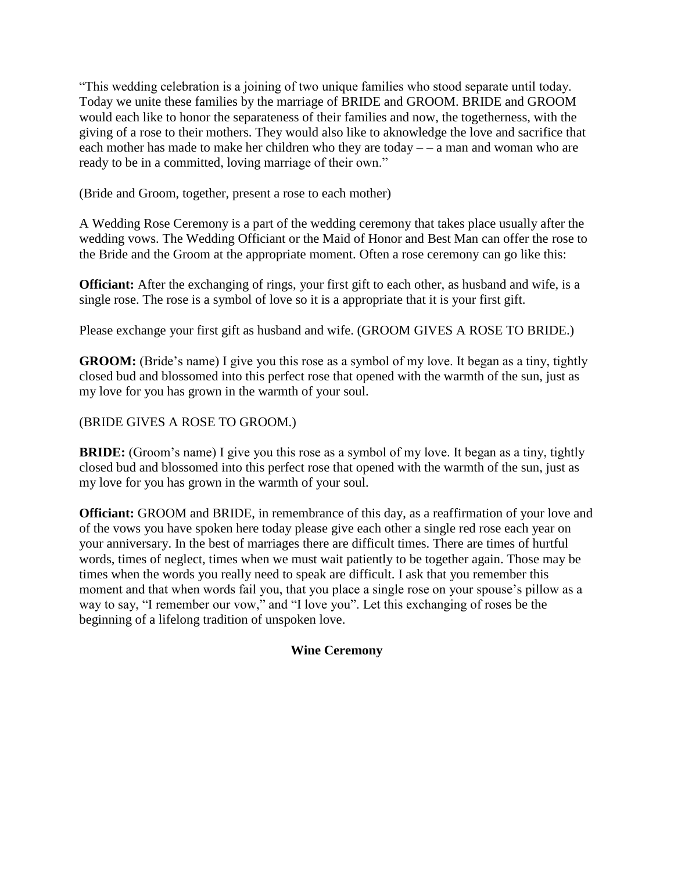"This wedding celebration is a joining of two unique families who stood separate until today. Today we unite these families by the marriage of BRIDE and GROOM. BRIDE and GROOM would each like to honor the separateness of their families and now, the togetherness, with the giving of a rose to their mothers. They would also like to aknowledge the love and sacrifice that each mother has made to make her children who they are today – – a man and woman who are ready to be in a committed, loving marriage of their own."

(Bride and Groom, together, present a rose to each mother)

A Wedding Rose Ceremony is a part of the wedding ceremony that takes place usually after the wedding vows. The Wedding Officiant or the Maid of Honor and Best Man can offer the rose to the Bride and the Groom at the appropriate moment. Often a rose ceremony can go like this:

**Officiant:** After the exchanging of rings, your first gift to each other, as husband and wife, is a single rose. The rose is a symbol of love so it is a appropriate that it is your first gift.

Please exchange your first gift as husband and wife. (GROOM GIVES A ROSE TO BRIDE.)

**GROOM:** (Bride's name) I give you this rose as a symbol of my love. It began as a tiny, tightly closed bud and blossomed into this perfect rose that opened with the warmth of the sun, just as my love for you has grown in the warmth of your soul.

## (BRIDE GIVES A ROSE TO GROOM.)

**BRIDE:** (Groom's name) I give you this rose as a symbol of my love. It began as a tiny, tightly closed bud and blossomed into this perfect rose that opened with the warmth of the sun, just as my love for you has grown in the warmth of your soul.

**Officiant:** GROOM and BRIDE, in remembrance of this day, as a reaffirmation of your love and of the vows you have spoken here today please give each other a single red rose each year on your anniversary. In the best of marriages there are difficult times. There are times of hurtful words, times of neglect, times when we must wait patiently to be together again. Those may be times when the words you really need to speak are difficult. I ask that you remember this moment and that when words fail you, that you place a single rose on your spouse's pillow as a way to say, "I remember our vow," and "I love you". Let this exchanging of roses be the beginning of a lifelong tradition of unspoken love.

### **Wine Ceremony**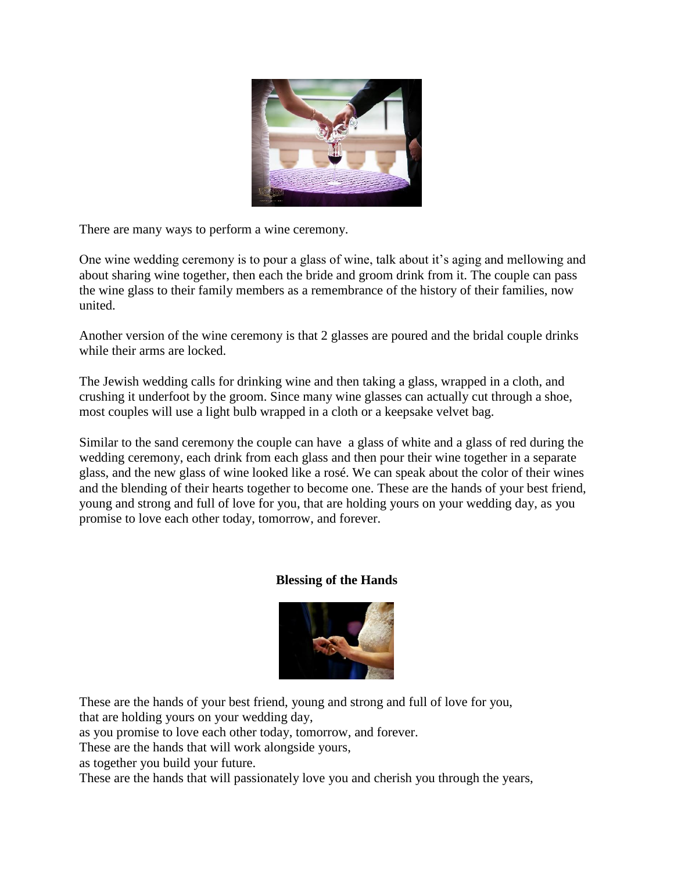

There are many ways to perform a wine ceremony.

One wine wedding ceremony is to pour a glass of wine, talk about it's aging and mellowing and about sharing wine together, then each the bride and groom drink from it. The couple can pass the wine glass to their family members as a remembrance of the history of their families, now united.

Another version of the wine ceremony is that 2 glasses are poured and the bridal couple drinks while their arms are locked.

The Jewish wedding calls for drinking wine and then taking a glass, wrapped in a cloth, and crushing it underfoot by the groom. Since many wine glasses can actually cut through a shoe, most couples will use a light bulb wrapped in a cloth or a keepsake velvet bag.

Similar to the sand ceremony the couple can have a glass of white and a glass of red during the wedding ceremony, each drink from each glass and then pour their wine together in a separate glass, and the new glass of wine looked like a rosé. We can speak about the color of their wines and the blending of their hearts together to become one. These are the hands of your best friend, young and strong and full of love for you, that are holding yours on your wedding day, as you promise to love each other today, tomorrow, and forever.

## **Blessing of the Hands**



These are the hands of your best friend, young and strong and full of love for you, that are holding yours on your wedding day,

as you promise to love each other today, tomorrow, and forever.

These are the hands that will work alongside yours,

as together you build your future.

These are the hands that will passionately love you and cherish you through the years,